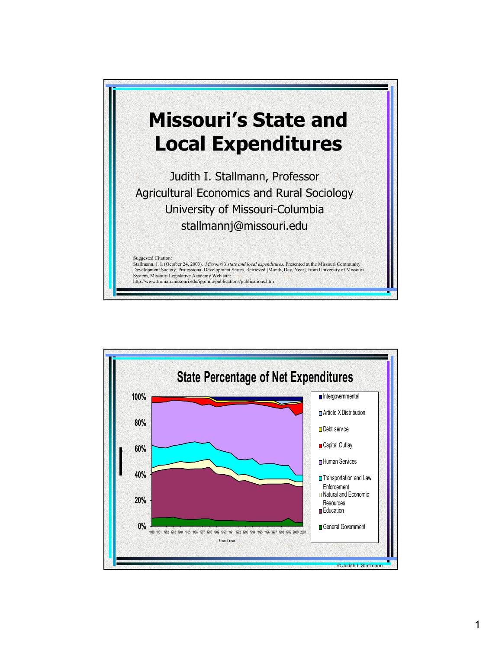

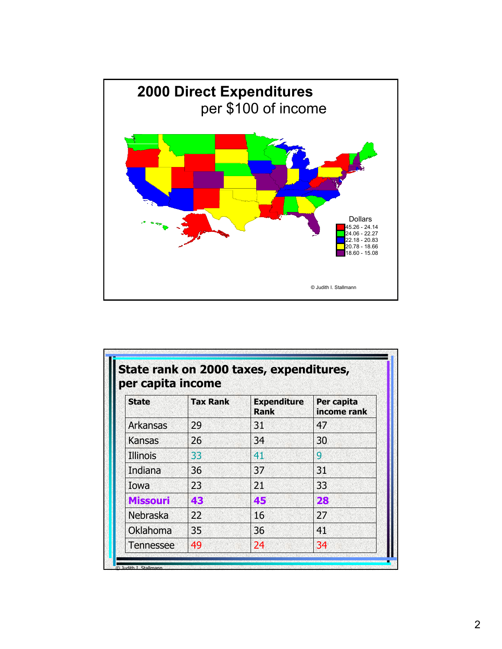

| <b>State</b>     | <b>Tax Rank</b> | <b>Expenditure</b><br><b>Rank</b> | Per capita<br>income rank |
|------------------|-----------------|-----------------------------------|---------------------------|
| Arkansas         | 29              | 31                                | 47                        |
| Kansas           | 26              | 34                                | 30                        |
| <b>Illinois</b>  | 33              | 41                                | 9                         |
| Indiana          | 36              | 37                                | 31                        |
| Iowa             | 23              | 21                                | 33                        |
| <b>Missouri</b>  | 43              | 45                                | 28                        |
| Nebraska         | 22              | 16                                | 27                        |
| Oklahoma         | 35              | 36                                | 41                        |
| <b>Tennessee</b> | 49              | 24                                | 34                        |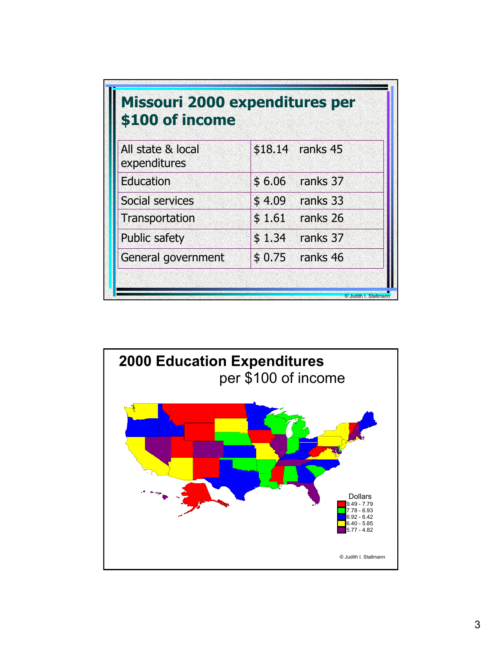| \$100 of income                   | <b>Missouri 2000 expenditures per</b> |
|-----------------------------------|---------------------------------------|
| All state & local<br>expenditures | \$18.14 ranks 45                      |
| Education                         | ranks 37<br>\$6.06                    |
| Social services                   | \$4.09<br>ranks 33                    |
| Transportation                    | \$1.61<br>ranks 26                    |
| <b>Public safety</b>              | \$1.34<br>ranks 37                    |
| General government                | \$0.75<br>ranks 46                    |

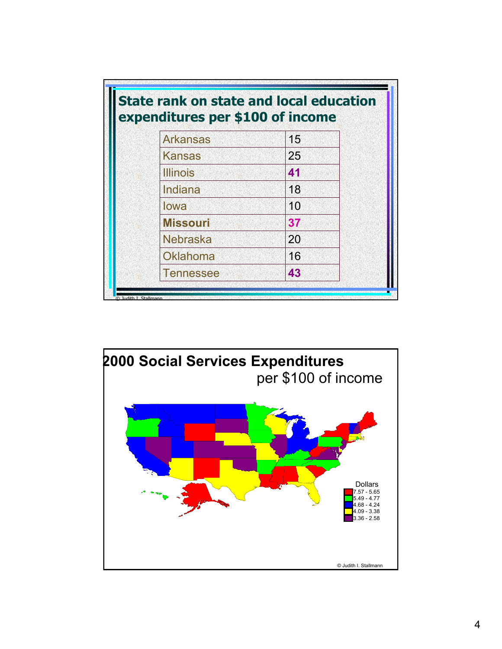|                 | expenditures per \$100 of income |
|-----------------|----------------------------------|
| <b>Arkansas</b> | 15                               |
| <b>Kansas</b>   | 25                               |
| <b>Illinois</b> | 41                               |
| Indiana         | 18                               |
| lowa            | 10                               |
| <b>Missouri</b> | 37                               |
| <b>Nebraska</b> | 20                               |
| Oklahoma        | 16                               |
| Tennessee       | 43                               |

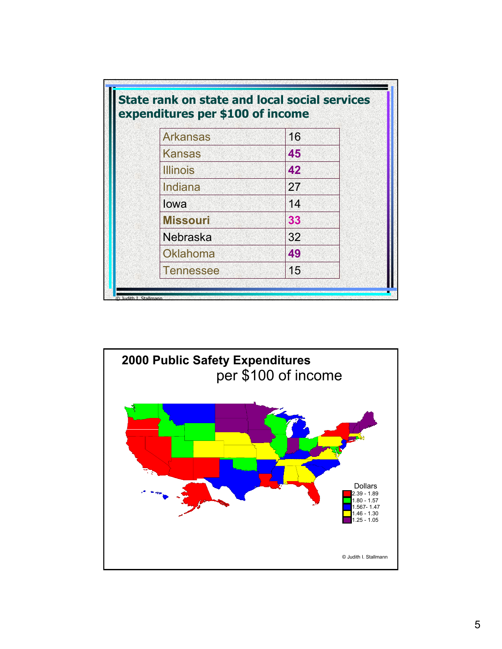| <b>Arkansas</b>  | 16 |
|------------------|----|
| <b>Kansas</b>    | 45 |
| <b>Illinois</b>  | 42 |
| Indiana          | 27 |
| lowa             | 14 |
| <b>Missouri</b>  | 33 |
| <b>Nebraska</b>  | 32 |
| Oklahoma         | 49 |
| <b>Tennessee</b> | 15 |

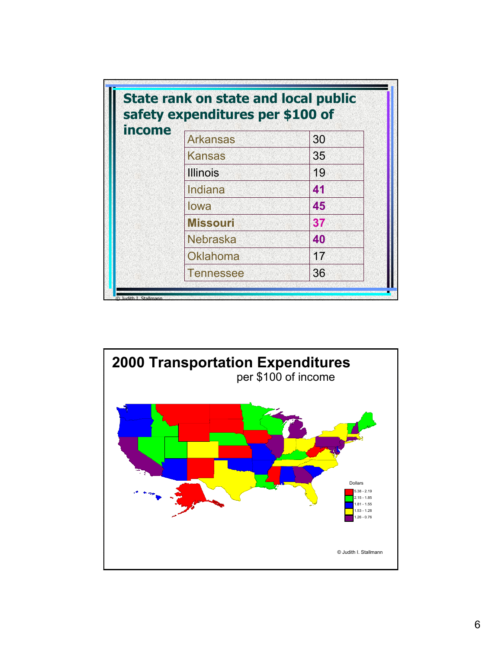| <i>income</i> | <b>Arkansas</b> | 30 |
|---------------|-----------------|----|
|               | <b>Kansas</b>   | 35 |
|               | <b>Illinois</b> | 19 |
|               | Indiana         | 41 |
|               | lowa            | 45 |
|               | <b>Missouri</b> | 37 |
|               | <b>Nebraska</b> | 40 |
|               | Oklahoma        | 17 |
|               | Tennessee       | 36 |

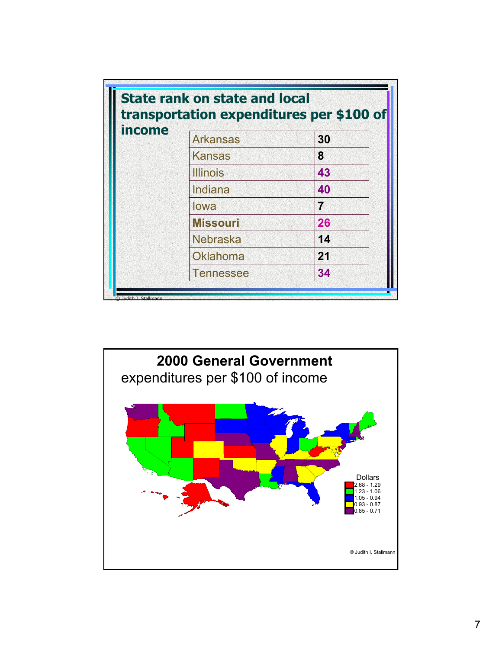| income | <b>Arkansas</b> | 30 |
|--------|-----------------|----|
|        | <b>Kansas</b>   | 8  |
|        | <b>Illinois</b> | 43 |
|        | Indiana         | 40 |
|        | lowa            | 7  |
|        | <b>Missouri</b> | 26 |
|        | <b>Nebraska</b> | 14 |
|        | <b>Oklahoma</b> | 21 |
|        | Tennessee       | 34 |